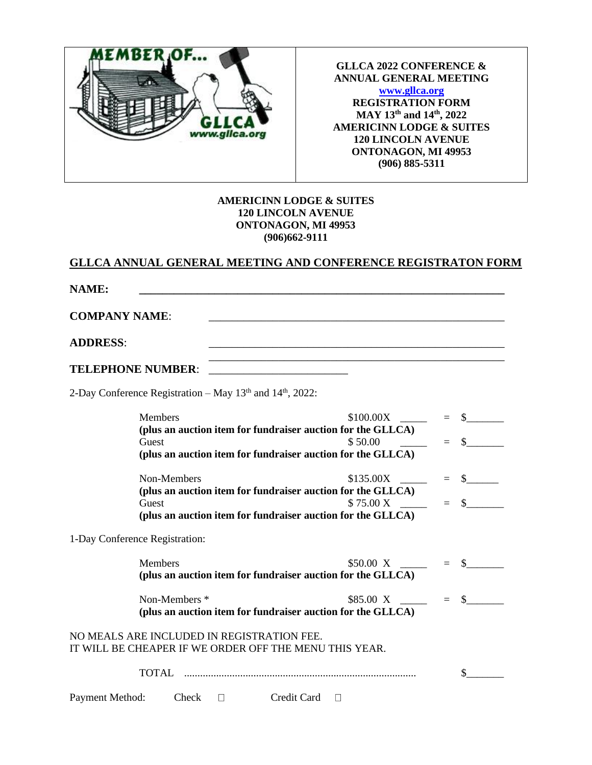

**GLLCA 2022 CONFERENCE & ANNUAL GENERAL MEETING [www.gllca.org](http://www.gllca.org/) REGISTRATION FORM MAY 13th and 14th, 2022 AMERICINN LODGE & SUITES 120 LINCOLN AVENUE ONTONAGON, MI 49953 (906) 885-5311**

#### **AMERICINN LODGE & SUITES 120 LINCOLN AVENUE ONTONAGON, MI 49953 (906)662-9111**

### **GLLCA ANNUAL GENERAL MEETING AND CONFERENCE REGISTRATON FORM**

| <b>NAME:</b>                                                                                         |                                                             |           |                      |
|------------------------------------------------------------------------------------------------------|-------------------------------------------------------------|-----------|----------------------|
| <b>COMPANY NAME:</b>                                                                                 |                                                             |           |                      |
| <b>ADDRESS:</b>                                                                                      |                                                             |           |                      |
| <b>TELEPHONE NUMBER:</b>                                                                             |                                                             |           |                      |
| 2-Day Conference Registration – May 13 <sup>th</sup> and 14 <sup>th</sup> , 2022:                    |                                                             |           |                      |
| <b>Members</b>                                                                                       |                                                             | \$100.00X |                      |
|                                                                                                      | (plus an auction item for fundraiser auction for the GLLCA) |           |                      |
| Guest                                                                                                |                                                             | \$50.00   |                      |
|                                                                                                      | (plus an auction item for fundraiser auction for the GLLCA) |           |                      |
| Non-Members                                                                                          |                                                             | \$135.00X | $\frac{\sqrt{2}}{2}$ |
|                                                                                                      | (plus an auction item for fundraiser auction for the GLLCA) |           |                      |
| Guest                                                                                                |                                                             | \$75.00 X |                      |
|                                                                                                      | (plus an auction item for fundraiser auction for the GLLCA) |           |                      |
| 1-Day Conference Registration:                                                                       |                                                             |           |                      |
|                                                                                                      |                                                             |           |                      |
| Members                                                                                              |                                                             | \$50.00 X | \$<br>$=$            |
|                                                                                                      | (plus an auction item for fundraiser auction for the GLLCA) |           |                      |
| Non-Members <sup>*</sup>                                                                             |                                                             | \$85.00 X | $\mathcal{S}$<br>$=$ |
|                                                                                                      | (plus an auction item for fundraiser auction for the GLLCA) |           |                      |
| NO MEALS ARE INCLUDED IN REGISTRATION FEE.<br>IT WILL BE CHEAPER IF WE ORDER OFF THE MENU THIS YEAR. |                                                             |           |                      |
|                                                                                                      |                                                             |           | \$                   |
| Payment Method:<br>Check                                                                             | Credit Card<br>$\Box$                                       | П         |                      |